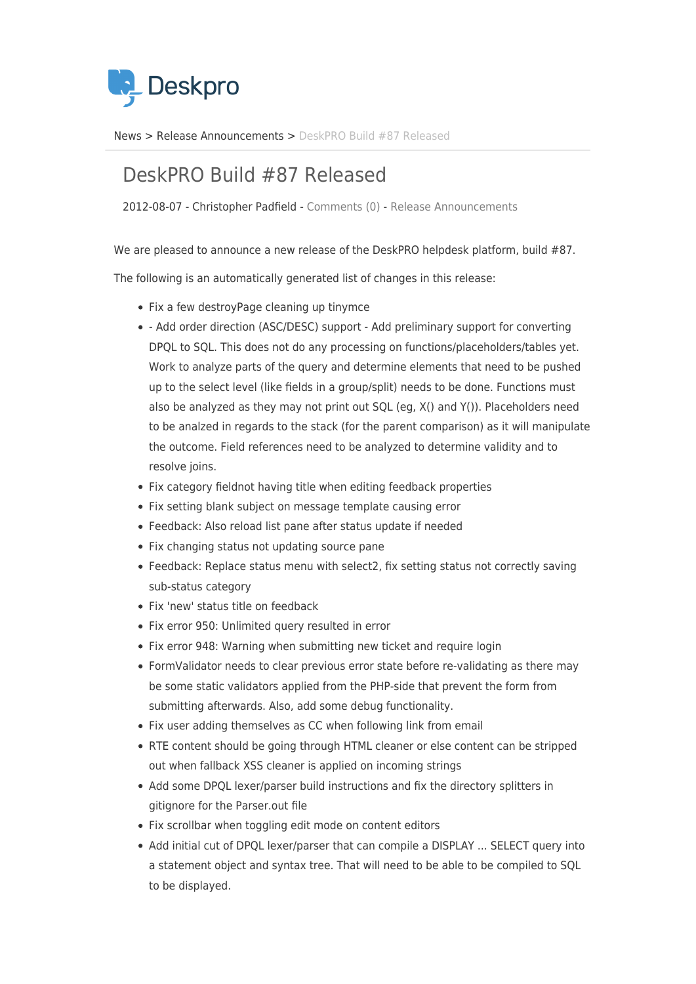

[News](https://support.deskpro.com/sv/news) > [Release Announcements](https://support.deskpro.com/sv/news/release-announcements) > [DeskPRO Build #87 Released](https://support.deskpro.com/sv/news/posts/deskpro-build-87-released)

## DeskPRO Build #87 Released

2012-08-07 - Christopher Padfield - [Comments \(0\)](#page--1-0) - [Release Announcements](https://support.deskpro.com/sv/news/release-announcements)

We are pleased to announce a new release of the DeskPRO helpdesk platform, build #87.

The following is an automatically generated list of changes in this release:

- Fix a few destroyPage cleaning up tinymce
- Add order direction (ASC/DESC) support Add preliminary support for converting DPQL to SQL. This does not do any processing on functions/placeholders/tables yet. Work to analyze parts of the query and determine elements that need to be pushed up to the select level (like fields in a group/split) needs to be done. Functions must also be analyzed as they may not print out SQL (eg, X() and Y()). Placeholders need to be analzed in regards to the stack (for the parent comparison) as it will manipulate the outcome. Field references need to be analyzed to determine validity and to resolve joins.
- Fix category fieldnot having title when editing feedback properties
- Fix setting blank subject on message template causing error
- Feedback: Also reload list pane after status update if needed
- Fix changing status not updating source pane
- Feedback: Replace status menu with select2, fix setting status not correctly saving sub-status category
- Fix 'new' status title on feedback
- Fix error 950: Unlimited query resulted in error
- Fix error 948: Warning when submitting new ticket and require login
- FormValidator needs to clear previous error state before re-validating as there may be some static validators applied from the PHP-side that prevent the form from submitting afterwards. Also, add some debug functionality.
- Fix user adding themselves as CC when following link from email
- RTE content should be going through HTML cleaner or else content can be stripped out when fallback XSS cleaner is applied on incoming strings
- Add some DPQL lexer/parser build instructions and fix the directory splitters in gitignore for the Parser.out file
- Fix scrollbar when toggling edit mode on content editors
- Add initial cut of DPQL lexer/parser that can compile a DISPLAY ... SELECT query into a statement object and syntax tree. That will need to be able to be compiled to SQL to be displayed.